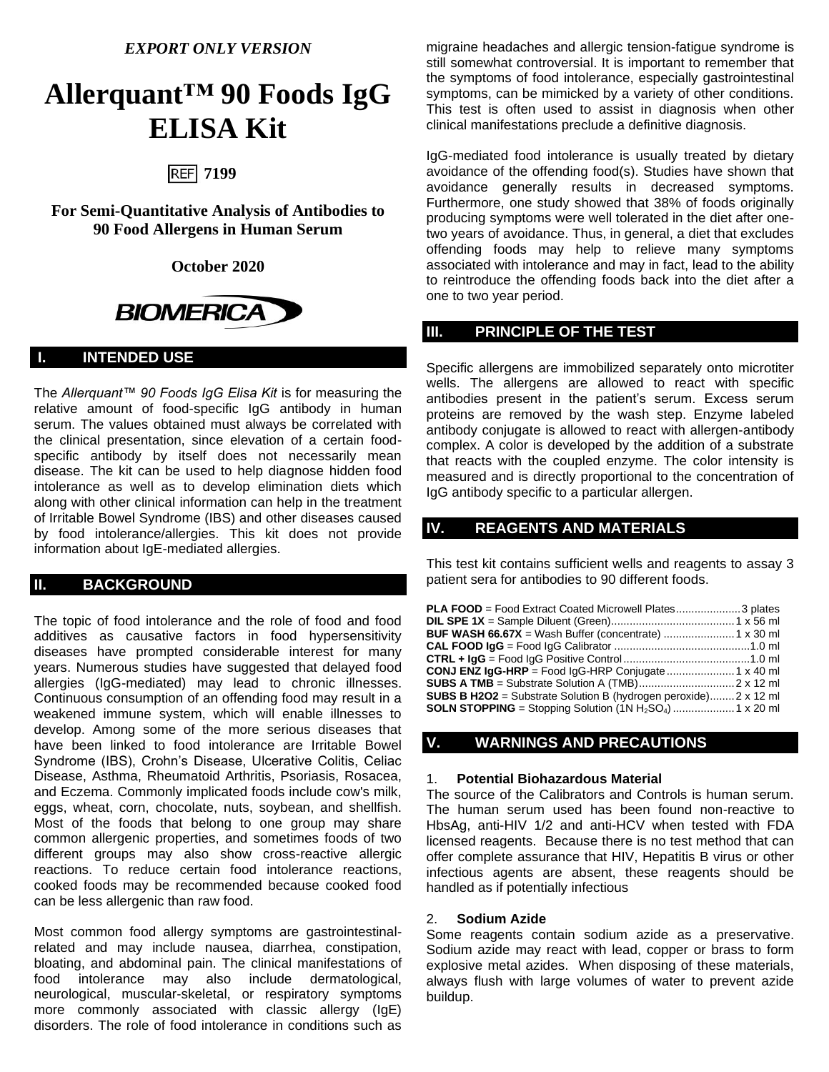*EXPORT ONLY VERSION*

# **Allerquant™ 90 Foods IgG ELISA Kit**

## **7199**

**For Semi-Quantitative Analysis of Antibodies to 90 Food Allergens in Human Serum**

#### **October 2020**



## **I. INTENDED USE**

The *Allerquant™ 90 Foods IgG Elisa Kit* is for measuring the relative amount of food-specific IgG antibody in human serum. The values obtained must always be correlated with the clinical presentation, since elevation of a certain foodspecific antibody by itself does not necessarily mean disease. The kit can be used to help diagnose hidden food intolerance as well as to develop elimination diets which along with other clinical information can help in the treatment of Irritable Bowel Syndrome (IBS) and other diseases caused by food intolerance/allergies. This kit does not provide information about IgE-mediated allergies.

## **II. BACKGROUND**

The topic of food intolerance and the role of food and food additives as causative factors in food hypersensitivity diseases have prompted considerable interest for many years. Numerous studies have suggested that delayed food allergies (IgG-mediated) may lead to chronic illnesses. Continuous consumption of an offending food may result in a weakened immune system, which will enable illnesses to develop. Among some of the more serious diseases that have been linked to food intolerance are Irritable Bowel Syndrome (IBS), Crohn's Disease, Ulcerative Colitis, Celiac Disease, Asthma, Rheumatoid Arthritis, Psoriasis, Rosacea, and Eczema. Commonly implicated foods include cow's milk, eggs, wheat, corn, chocolate, nuts, soybean, and shellfish. Most of the foods that belong to one group may share common allergenic properties, and sometimes foods of two different groups may also show cross-reactive allergic reactions. To reduce certain food intolerance reactions, cooked foods may be recommended because cooked food can be less allergenic than raw food.

Most common food allergy symptoms are gastrointestinalrelated and may include nausea, diarrhea, constipation, bloating, and abdominal pain. The clinical manifestations of food intolerance may also include dermatological, neurological, muscular-skeletal, or respiratory symptoms more commonly associated with classic allergy (IgE) disorders. The role of food intolerance in conditions such as

migraine headaches and allergic tension-fatigue syndrome is still somewhat controversial. It is important to remember that the symptoms of food intolerance, especially gastrointestinal symptoms, can be mimicked by a variety of other conditions. This test is often used to assist in diagnosis when other clinical manifestations preclude a definitive diagnosis.

IgG-mediated food intolerance is usually treated by dietary avoidance of the offending food(s). Studies have shown that avoidance generally results in decreased symptoms. Furthermore, one study showed that 38% of foods originally producing symptoms were well tolerated in the diet after onetwo years of avoidance. Thus, in general, a diet that excludes offending foods may help to relieve many symptoms associated with intolerance and may in fact, lead to the ability to reintroduce the offending foods back into the diet after a one to two year period.

## **III. PRINCIPLE OF THE TEST**

Specific allergens are immobilized separately onto microtiter wells. The allergens are allowed to react with specific antibodies present in the patient's serum. Excess serum proteins are removed by the wash step. Enzyme labeled antibody conjugate is allowed to react with allergen-antibody complex. A color is developed by the addition of a substrate that reacts with the coupled enzyme. The color intensity is measured and is directly proportional to the concentration of IgG antibody specific to a particular allergen.

## **IV. REAGENTS AND MATERIALS**

This test kit contains sufficient wells and reagents to assay 3 patient sera for antibodies to 90 different foods.

| <b>PLA FOOD</b> = Food Extract Coated Microwell Plates3 plates                 |  |
|--------------------------------------------------------------------------------|--|
|                                                                                |  |
|                                                                                |  |
|                                                                                |  |
|                                                                                |  |
|                                                                                |  |
|                                                                                |  |
| <b>SUBS B H2O2</b> = Substrate Solution B (hydrogen peroxide) $2 \times 12$ ml |  |
|                                                                                |  |

#### **V. WARNINGS AND PRECAUTIONS**

#### 1. **Potential Biohazardous Material**

The source of the Calibrators and Controls is human serum. The human serum used has been found non-reactive to HbsAg, anti-HIV 1/2 and anti-HCV when tested with FDA licensed reagents. Because there is no test method that can offer complete assurance that HIV, Hepatitis B virus or other infectious agents are absent, these reagents should be handled as if potentially infectious

#### 2. **Sodium Azide**

Some reagents contain sodium azide as a preservative. Sodium azide may react with lead, copper or brass to form explosive metal azides. When disposing of these materials, always flush with large volumes of water to prevent azide buildup.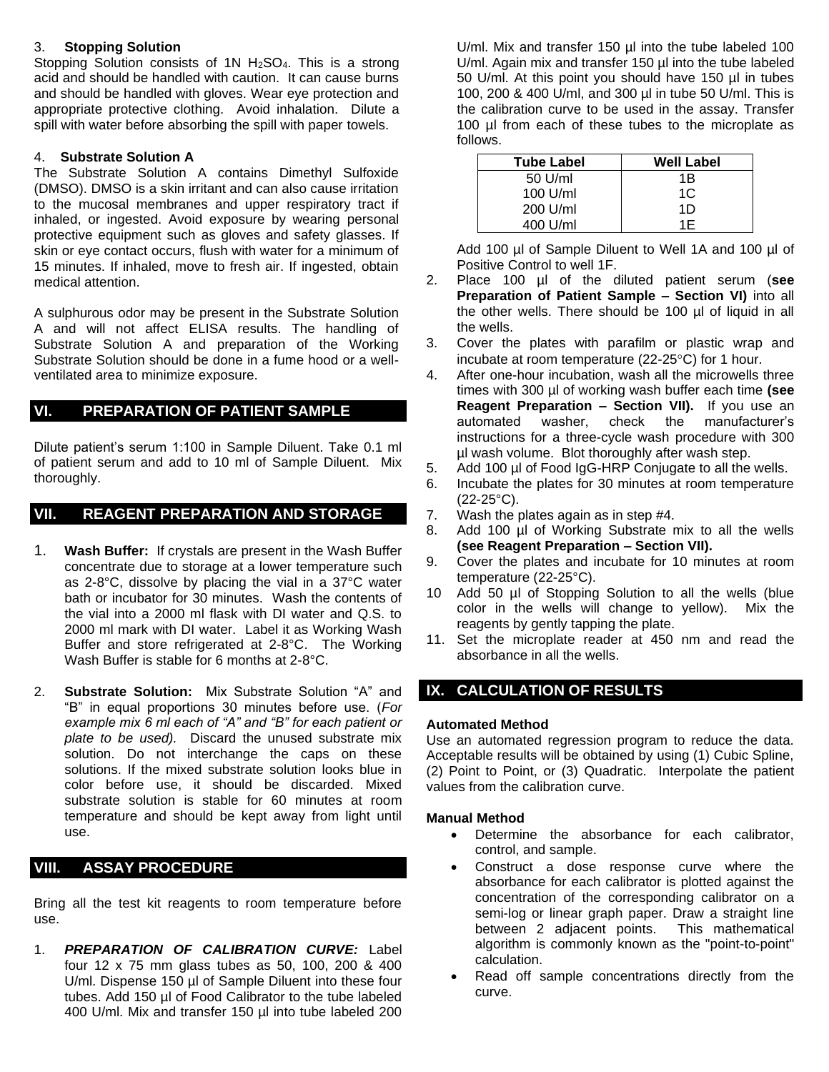#### 3. **Stopping Solution**

Stopping Solution consists of 1N  $H_2SO_4$ . This is a strong acid and should be handled with caution. It can cause burns and should be handled with gloves. Wear eye protection and appropriate protective clothing. Avoid inhalation. Dilute a spill with water before absorbing the spill with paper towels.

#### 4. **Substrate Solution A**

The Substrate Solution A contains Dimethyl Sulfoxide (DMSO). DMSO is a skin irritant and can also cause irritation to the mucosal membranes and upper respiratory tract if inhaled, or ingested. Avoid exposure by wearing personal protective equipment such as gloves and safety glasses. If skin or eye contact occurs, flush with water for a minimum of 15 minutes. If inhaled, move to fresh air. If ingested, obtain medical attention.

A sulphurous odor may be present in the Substrate Solution A and will not affect ELISA results. The handling of Substrate Solution A and preparation of the Working Substrate Solution should be done in a fume hood or a wellventilated area to minimize exposure.

## **VI. PREPARATION OF PATIENT SAMPLE**

Dilute patient's serum 1:100 in Sample Diluent. Take 0.1 ml of patient serum and add to 10 ml of Sample Diluent. Mix thoroughly.

## **VII. REAGENT PREPARATION AND STORAGE**

- 1. **Wash Buffer:** If crystals are present in the Wash Buffer concentrate due to storage at a lower temperature such as 2-8°C, dissolve by placing the vial in a 37°C water bath or incubator for 30 minutes. Wash the contents of the vial into a 2000 ml flask with DI water and Q.S. to 2000 ml mark with DI water. Label it as Working Wash Buffer and store refrigerated at 2-8°C. The Working Wash Buffer is stable for 6 months at 2-8°C.
- 2. **Substrate Solution:** Mix Substrate Solution "A" and "B" in equal proportions 30 minutes before use. (*For example mix 6 ml each of "A" and "B" for each patient or plate to be used).* Discard the unused substrate mix solution. Do not interchange the caps on these solutions. If the mixed substrate solution looks blue in color before use, it should be discarded. Mixed substrate solution is stable for 60 minutes at room temperature and should be kept away from light until use.

## **VIII. ASSAY PROCEDURE**

Bring all the test kit reagents to room temperature before use.

1. *PREPARATION OF CALIBRATION CURVE:* Label four 12 x 75 mm glass tubes as 50, 100, 200 & 400 U/ml. Dispense 150 µl of Sample Diluent into these four tubes. Add 150 µl of Food Calibrator to the tube labeled 400 U/ml. Mix and transfer 150 µl into tube labeled 200

U/ml. Mix and transfer 150 ul into the tube labeled 100 U/ml. Again mix and transfer 150 µl into the tube labeled 50 U/ml. At this point you should have 150 µl in tubes 100, 200 & 400 U/ml, and 300 µl in tube 50 U/ml. This is the calibration curve to be used in the assay. Transfer 100 µl from each of these tubes to the microplate as follows.

| <b>Tube Label</b> | Well Label |
|-------------------|------------|
| $50$ U/ml         | 1Β         |
| $100$ U/ml        | 1C         |
| 200 U/ml          | 1D         |
| 400 U/ml          | 1F         |

Add 100 µl of Sample Diluent to Well 1A and 100 µl of Positive Control to well 1F.

- 2. Place 100 µl of the diluted patient serum (**see Preparation of Patient Sample – Section VI)** into all the other wells. There should be 100 µl of liquid in all the wells.
- 3. Cover the plates with parafilm or plastic wrap and incubate at room temperature (22-25 $\textdegree$ C) for 1 hour.
- 4. After one-hour incubation, wash all the microwells three times with 300 µl of working wash buffer each time **(see Reagent Preparation – Section VII).** If you use an automated washer, check the manufacturer's instructions for a three-cycle wash procedure with 300 µl wash volume. Blot thoroughly after wash step.
- 5. Add 100 µl of Food IgG-HRP Conjugate to all the wells.
- 6. Incubate the plates for 30 minutes at room temperature  $(22-25^{\circ}C)$ .
- 7. Wash the plates again as in step #4.
- 8. Add 100 µl of Working Substrate mix to all the wells **(see Reagent Preparation – Section VII).**
- 9. Cover the plates and incubate for 10 minutes at room temperature (22-25°C).
- 10 Add 50 µl of Stopping Solution to all the wells (blue color in the wells will change to yellow). Mix the reagents by gently tapping the plate.
- 11. Set the microplate reader at 450 nm and read the absorbance in all the wells.

## **IX. CALCULATION OF RESULTS**

#### **Automated Method**

Use an automated regression program to reduce the data. Acceptable results will be obtained by using (1) Cubic Spline, (2) Point to Point, or (3) Quadratic. Interpolate the patient values from the calibration curve.

#### **Manual Method**

- Determine the absorbance for each calibrator, control, and sample.
- Construct a dose response curve where the absorbance for each calibrator is plotted against the concentration of the corresponding calibrator on a semi-log or linear graph paper. Draw a straight line between 2 adjacent points. This mathematical algorithm is commonly known as the "point-to-point" calculation.
- Read off sample concentrations directly from the curve.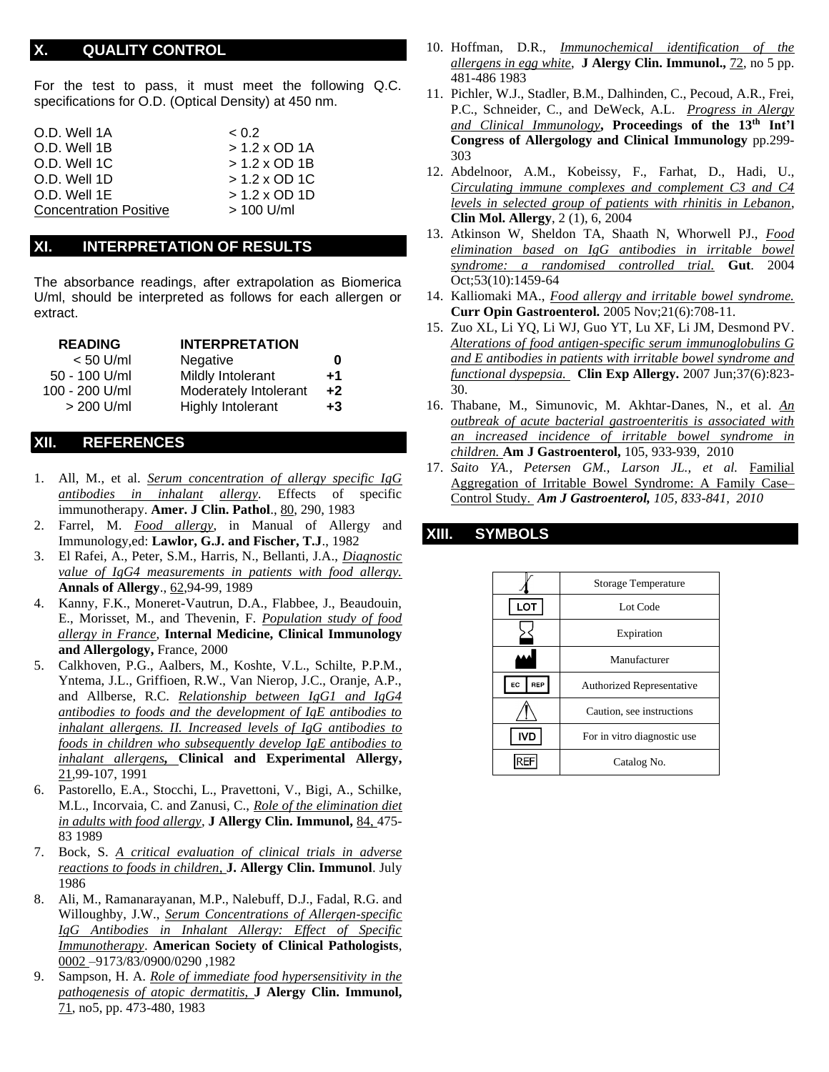#### **X. QUALITY CONTROL**

For the test to pass, it must meet the following Q.C. specifications for O.D. (Optical Density) at 450 nm.

| O.D. Well 1A                  | < 0.2                |
|-------------------------------|----------------------|
| O.D. Well 1B                  | $> 1.2 \times$ OD 1A |
| O.D. Well 1C                  | $> 1.2 \times$ OD 1B |
| O.D. Well 1D                  | $> 1.2 \times$ OD 1C |
| O.D. Well 1E                  | $> 1.2 \times$ OD 1D |
| <b>Concentration Positive</b> | $> 100$ U/ml         |

#### **XI. INTERPRETATION OF RESULTS**

The absorbance readings, after extrapolation as Biomerica U/ml, should be interpreted as follows for each allergen or extract.

| <b>READING</b> | <b>INTERPRETATION</b>    |      |
|----------------|--------------------------|------|
| $< 50$ U/ml    | Negative                 | 0    |
| 50 - 100 U/ml  | Mildly Intolerant        | +1   |
| 100 - 200 U/ml | Moderately Intolerant    | $+2$ |
| $> 200$ U/ml   | <b>Highly Intolerant</b> | $+3$ |

#### **XII. REFERENCES**

- 1. All, M., et al. *Serum concentration of allergy specific IgG antibodies in inhalant allergy*. Effects of specific immunotherapy. **Amer. J Clin. Pathol**., 80, 290, 1983
- 2. Farrel, M. *Food allergy*, in Manual of Allergy and Immunology,ed: **Lawlor, G.J. and Fischer, T.J**., 1982
- 3. El Rafei, A., Peter, S.M., Harris, N., Bellanti, J.A., *Diagnostic value of IgG4 measurements in patients with food allergy.*  **Annals of Allergy**., 62,94-99, 1989
- 4. Kanny, F.K., Moneret-Vautrun, D.A., Flabbee, J., Beaudouin, E., Morisset, M., and Thevenin, F. *Population study of food allergy in France*, **Internal Medicine, Clinical Immunology and Allergology,** France, 2000
- 5. Calkhoven, P.G., Aalbers, M., Koshte, V.L., Schilte, P.P.M., Yntema, J.L., Griffioen, R.W., Van Nierop, J.C., Oranje, A.P., and Allberse, R.C. *Relationship between IgG1 and IgG4 antibodies to foods and the development of IgE antibodies to inhalant allergens. II. Increased levels of IgG antibodies to foods in children who subsequently develop IgE antibodies to inhalant allergens,* **Clinical and Experimental Allergy,**  21,99-107, 1991
- 6. Pastorello, E.A., Stocchi, L., Pravettoni, V., Bigi, A., Schilke, M.L., Incorvaia, C. and Zanusi, C., *Role of the elimination diet in adults with food allergy*, **J Allergy Clin. Immunol,** 84, 475- 83 1989
- 7. Bock, S. *A critical evaluation of clinical trials in adverse reactions to foods in children,* **J. Allergy Clin. Immunol**. July 1986
- 8. Ali, M., Ramanarayanan, M.P., Nalebuff, D.J., Fadal, R.G. and Willoughby, J.W., *Serum Concentrations of Allergen-specific IgG Antibodies in Inhalant Allergy: Effect of Specific Immunotherapy*. **American Society of Clinical Pathologists**, 0002 –9173/83/0900/0290 ,1982
- 9. Sampson, H. A. *Role of immediate food hypersensitivity in the pathogenesis of atopic dermatitis,* **J Alergy Clin. Immunol,** 71, no5, pp. 473-480, 1983
- 10. Hoffman, D.R., *Immunochemical identification of the allergens in egg white*, **J Alergy Clin. Immunol.,** 72, no 5 pp. 481-486 1983
- 11. Pichler, W.J., Stadler, B.M., Dalhinden, C., Pecoud, A.R., Frei, P.C., Schneider, C., and DeWeck, A.L. *Progress in Alergy and Clinical Immunology***, Proceedings of the 13th Int'l Congress of Allergology and Clinical Immunology** pp.299- 303
- 12. Abdelnoor, A.M., Kobeissy, F., Farhat, D., Hadi, U., *Circulating immune complexes and complement C3 and C4 levels in selected group of patients with rhinitis in Lebanon*, **Clin Mol. Allergy**, 2 (1), 6, 2004
- 13. Atkinson W, Sheldon TA, Shaath N, Whorwell PJ., *Food elimination based on IgG antibodies in irritable bowel syndrome: a randomised controlled trial.* **Gut**. 2004 Oct;53(10):1459-64
- 14. Kalliomaki MA., *Food allergy and irritable bowel syndrome.* **Curr Opin Gastroenterol.** 2005 Nov;21(6):708-11.
- 15. Zuo XL, Li YQ, Li WJ, Guo YT, Lu XF, Li JM, Desmond PV. *Alterations of food antigen-specific serum immunoglobulins G and E antibodies in patients with irritable bowel syndrome and functional dyspepsia.* **Clin Exp Allergy.** 2007 Jun;37(6):823- 30.
- 16. Thabane, M., Simunovic, M. Akhtar-Danes, N., et al. *An outbreak of acute bacterial gastroenteritis is associated with an increased incidence of irritable bowel syndrome in children.* **Am J Gastroenterol,** 105, 933-939, 2010
- 17. *Saito YA., Petersen GM., Larson JL., et al.* Familial Aggregation of Irritable Bowel Syndrome: A Family Case– Control Study. *Am J Gastroenterol, 105, 833-841, 2010*

#### **XIII. SYMBOLS**

|                  | <b>Storage Temperature</b>       |  |  |  |  |
|------------------|----------------------------------|--|--|--|--|
| LOT              | Lot Code                         |  |  |  |  |
|                  | Expiration                       |  |  |  |  |
|                  | Manufacturer                     |  |  |  |  |
| REP<br><b>EC</b> | <b>Authorized Representative</b> |  |  |  |  |
|                  | Caution, see instructions        |  |  |  |  |
| <b>IVD</b>       | For in vitro diagnostic use      |  |  |  |  |
|                  | Catalog No.                      |  |  |  |  |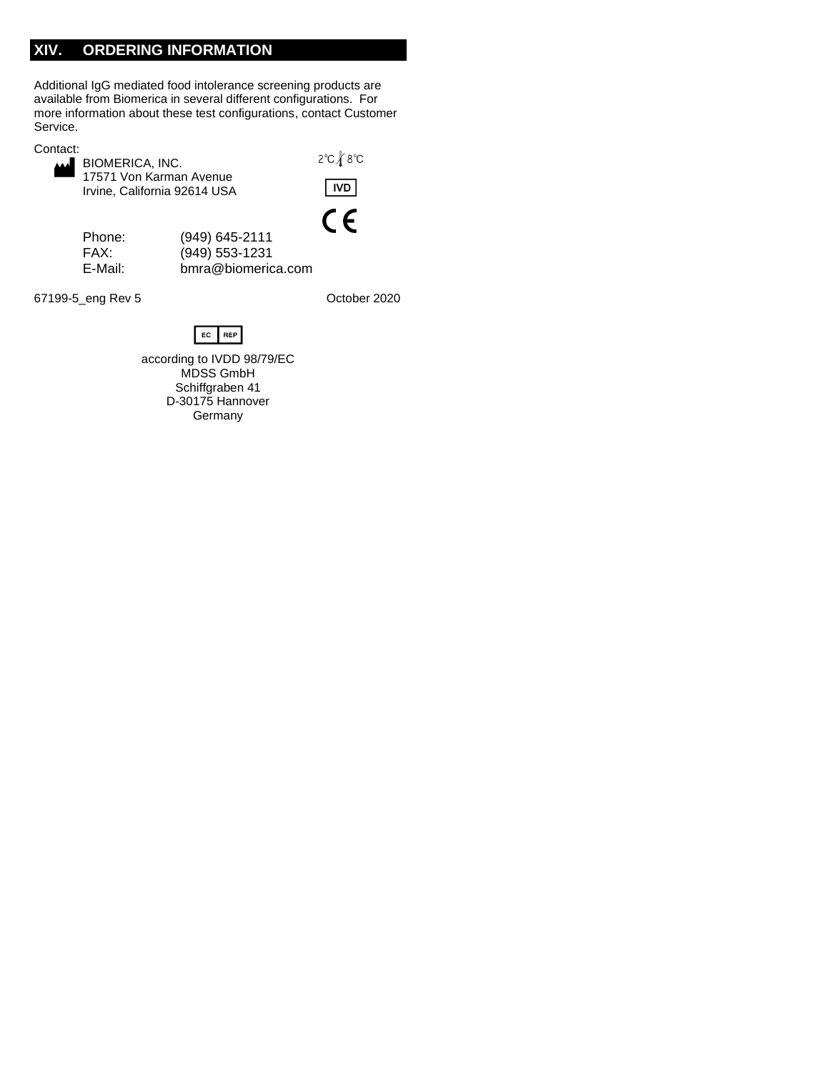## **XIV. ORDERING INFORMATION**

Additional IgG mediated food intolerance screening products are available from Biomerica in several different configurations. For more information about these test configurations, contact Customer Service.

| Contact: |
|----------|
|----------|

| BIOMERICA, INC.              |  |  |  |  |  |  |
|------------------------------|--|--|--|--|--|--|
| 17571 Von Karman Avenue      |  |  |  |  |  |  |
| Irvine, California 92614 USA |  |  |  |  |  |  |

2°C *\* 8°C



Phone: (949) 645-2111 FAX: (949) 553-1231 [bmra@biomerica.com](mailto:bmra@biomerica.com)

67199-5\_eng Rev 5 Contract Contract Contract Contract October 2020



according to IVDD 98/79/EC MDSS GmbH Schiffgraben 41 D-30175 Hannover Germany